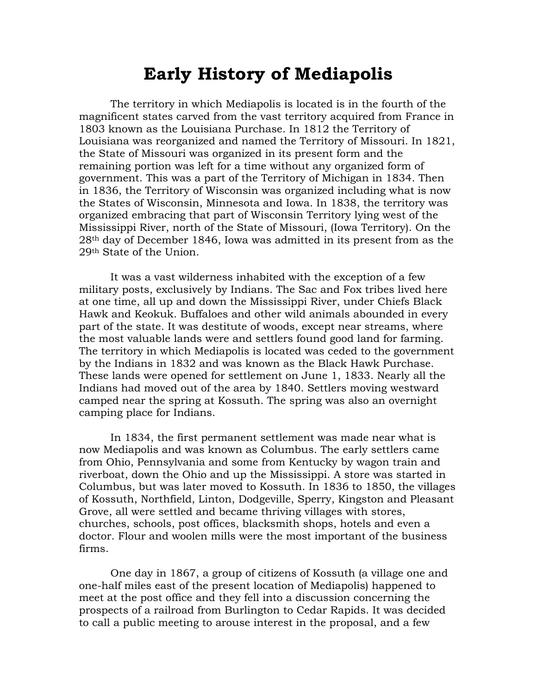## **Early History of Mediapolis**

The territory in which Mediapolis is located is in the fourth of the magnificent states carved from the vast territory acquired from France in 1803 known as the Louisiana Purchase. In 1812 the Territory of Louisiana was reorganized and named the Territory of Missouri. In 1821, the State of Missouri was organized in its present form and the remaining portion was left for a time without any organized form of government. This was a part of the Territory of Michigan in 1834. Then in 1836, the Territory of Wisconsin was organized including what is now the States of Wisconsin, Minnesota and Iowa. In 1838, the territory was organized embracing that part of Wisconsin Territory lying west of the Mississippi River, north of the State of Missouri, (Iowa Territory). On the 28th day of December 1846, Iowa was admitted in its present from as the 29th State of the Union.

It was a vast wilderness inhabited with the exception of a few military posts, exclusively by Indians. The Sac and Fox tribes lived here at one time, all up and down the Mississippi River, under Chiefs Black Hawk and Keokuk. Buffaloes and other wild animals abounded in every part of the state. It was destitute of woods, except near streams, where the most valuable lands were and settlers found good land for farming. The territory in which Mediapolis is located was ceded to the government by the Indians in 1832 and was known as the Black Hawk Purchase. These lands were opened for settlement on June 1, 1833. Nearly all the Indians had moved out of the area by 1840. Settlers moving westward camped near the spring at Kossuth. The spring was also an overnight camping place for Indians.

In 1834, the first permanent settlement was made near what is now Mediapolis and was known as Columbus. The early settlers came from Ohio, Pennsylvania and some from Kentucky by wagon train and riverboat, down the Ohio and up the Mississippi. A store was started in Columbus, but was later moved to Kossuth. In 1836 to 1850, the villages of Kossuth, Northfield, Linton, Dodgeville, Sperry, Kingston and Pleasant Grove, all were settled and became thriving villages with stores, churches, schools, post offices, blacksmith shops, hotels and even a doctor. Flour and woolen mills were the most important of the business firms.

One day in 1867, a group of citizens of Kossuth (a village one and one-half miles east of the present location of Mediapolis) happened to meet at the post office and they fell into a discussion concerning the prospects of a railroad from Burlington to Cedar Rapids. It was decided to call a public meeting to arouse interest in the proposal, and a few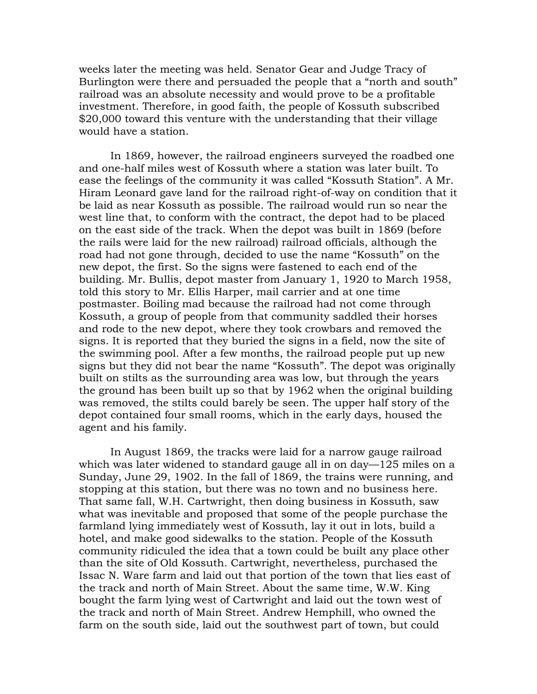weeks later the meeting was held. Senator Gear and Judge Tracy of Burlington were there and persuaded the people that a "north and south" railroad was an absolute necessity and would prove to be a profitable investment. Therefore, in good faith, the people of Kossuth subscribed \$20,000 toward this venture with the understanding that their village would have a station.

In 1869, however, the railroad engineers surveyed the roadbed one and one-half miles west of Kossuth where a station was later built. To ease the feelings of the community it was called "Kossuth Station". A Mr. Hiram Leonard gave land for the railroad right-of-way on condition that it be laid as near Kossuth as possible. The railroad would run so near the west line that, to conform with the contract, the depot had to be placed on the east side of the track. When the depot was built in 1869 (before the rails were laid for the new railroad) railroad officials, although the road had not gone through, decided to use the name "Kossuth" on the new depot, the first. So the signs were fastened to each end of the building. Mr. Bullis, depot master from January 1, 1920 to March 1958, told this story to Mr. Ellis Harper, mail carrier and at one time postmaster. Boiling mad because the railroad had not come through Kossuth, a group of people from that community saddled their horses and rode to the new depot, where they took crowbars and removed the signs. It is reported that they buried the signs in a field, now the site of the swimming pool. After a few months, the railroad people put up new signs but they did not bear the name "Kossuth". The depot was originally built on stilts as the surrounding area was low, but through the years the ground has been built up so that by 1962 when the original building was removed, the stilts could barely be seen. The upper half story of the depot contained four small rooms, which in the early days, housed the agent and his family.

In August 1869, the tracks were laid for a narrow gauge railroad which was later widened to standard gauge all in on day—125 miles on a Sunday, June 29, 1902. In the fall of 1869, the trains were running, and stopping at this station, but there was no town and no business here. That same fall, W.H. Cartwright, then doing business in Kossuth, saw what was inevitable and proposed that some of the people purchase the farmland lying immediately west of Kossuth, lay it out in lots, build a hotel, and make good sidewalks to the station. People of the Kossuth community ridiculed the idea that a town could be built any place other than the site of Old Kossuth. Cartwright, nevertheless, purchased the Issac N. Ware farm and laid out that portion of the town that lies east of the track and north of Main Street. About the same time, W.W. King bought the farm lying west of Cartwright and laid out the town west of the track and north of Main Street. Andrew Hemphill, who owned the farm on the south side, laid out the southwest part of town, but could